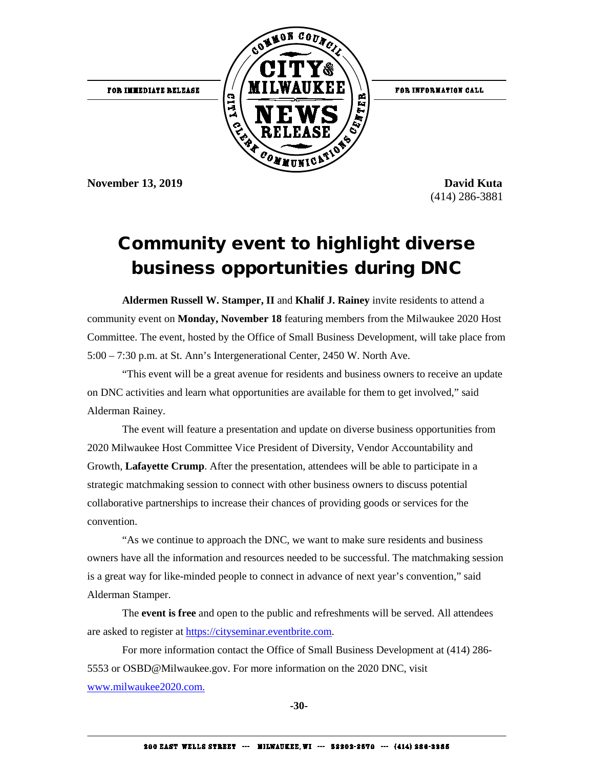

**November 13, 2019 David Kuta** 

(414) 286-3881

## Community event to highlight diverse business opportunities during DNC

**Aldermen Russell W. Stamper, II** and **Khalif J. Rainey** invite residents to attend a community event on **Monday, November 18** featuring members from the Milwaukee 2020 Host Committee. The event, hosted by the Office of Small Business Development, will take place from 5:00 – 7:30 p.m. at St. Ann's Intergenerational Center, 2450 W. North Ave.

"This event will be a great avenue for residents and business owners to receive an update on DNC activities and learn what opportunities are available for them to get involved," said Alderman Rainey.

The event will feature a presentation and update on diverse business opportunities from 2020 Milwaukee Host Committee Vice President of Diversity, Vendor Accountability and Growth, **Lafayette Crump**. After the presentation, attendees will be able to participate in a strategic matchmaking session to connect with other business owners to discuss potential collaborative partnerships to increase their chances of providing goods or services for the convention.

"As we continue to approach the DNC, we want to make sure residents and business owners have all the information and resources needed to be successful. The matchmaking session is a great way for like-minded people to connect in advance of next year's convention," said Alderman Stamper.

The **event is free** and open to the public and refreshments will be served. All attendees are asked to register at [https://cityseminar.eventbrite.com.](https://cityseminar.eventbrite.com/)

For more information contact the Office of Small Business Development at (414) 286- 5553 or OSBD@Milwaukee.gov. For more information on the 2020 DNC, visit [www.milwaukee2020.com.](https://l.facebook.com/l.php?u=http%3A%2F%2Fwww.milwaukee2020.com%2F%3Ffbclid%3DIwAR2kXNwNIe8c9hMsl4aolWFckOwjVHR2xWgYZj0czZjfK8OXgRAED8DIPds&h=AT2r7qbxAiYZGbxsW4QdOKiqYilPfAS7j0ohIjqpKx5CPznCWOQyAzH1aUzMVZzX1bM5fP_6WTNE0Pz9Yse-_Jyt63FGE4jaXugT9lquplg48VZSnss5ICXAzEHYluUBizA)

**-30-**